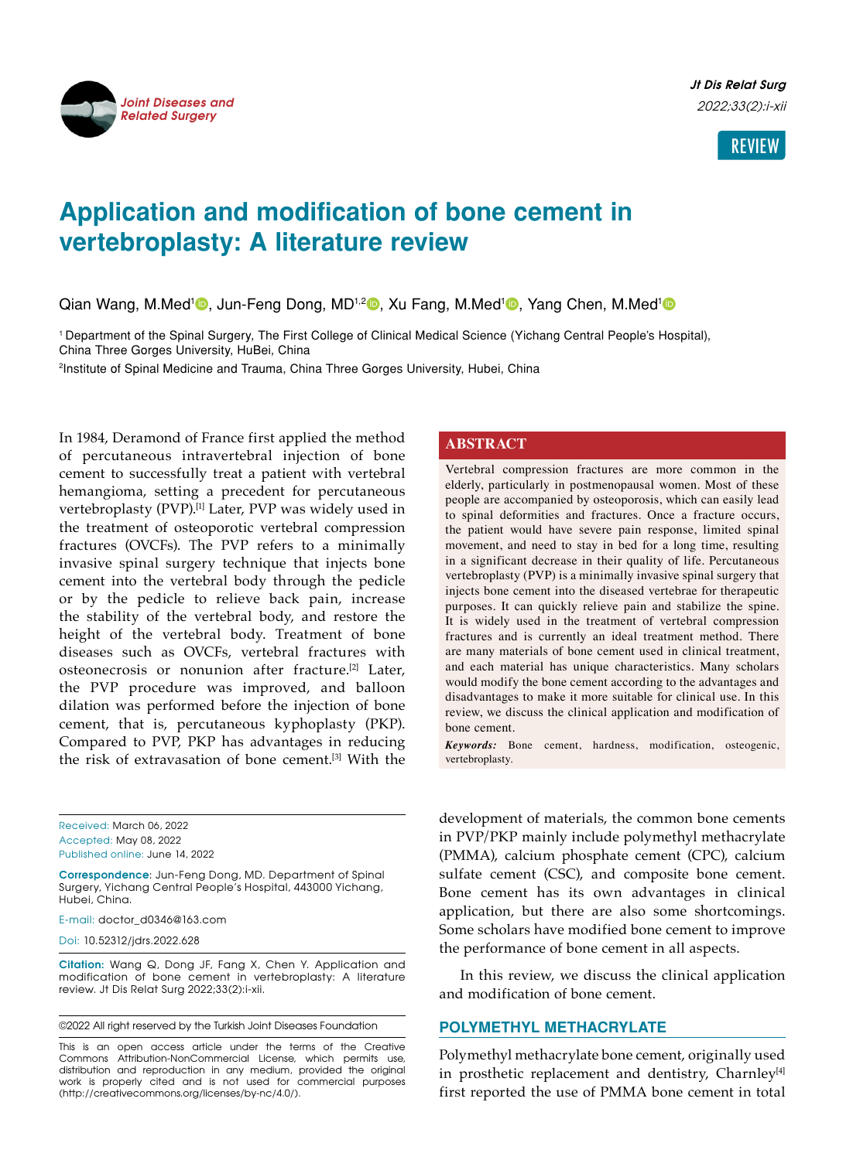

**Jt Dis Relat Surg** 2022;33(2):i-xii



# **Application and modification of bone cement in vertebroplasty: A literature review**

Qian Wang, M.Med<sup>1</sup> D, Jun-Feng Dong, MD<sup>1,2</sup> D, Xu Fang, M.Med<sup>1</sup> D, Yang Chen, M.Med<sup>1</sup> D

1 Department of the Spinal Surgery, The First College of Clinical Medical Science (Yichang Central People's Hospital), China Three Gorges University, HuBei, China

2 Institute of Spinal Medicine and Trauma, China Three Gorges University, Hubei, China

In 1984, Deramond of France first applied the method of percutaneous intravertebral injection of bone cement to successfully treat a patient with vertebral hemangioma, setting a precedent for percutaneous vertebroplasty (PVP).<sup>[1]</sup> Later, PVP was widely used in the treatment of osteoporotic vertebral compression fractures (OVCFs). The PVP refers to a minimally invasive spinal surgery technique that injects bone cement into the vertebral body through the pedicle or by the pedicle to relieve back pain, increase the stability of the vertebral body, and restore the height of the vertebral body. Treatment of bone diseases such as OVCFs, vertebral fractures with osteonecrosis or nonunion after fracture.<sup>[2]</sup> Later, the PVP procedure was improved, and balloon dilation was performed before the injection of bone cement, that is, percutaneous kyphoplasty (PKP). Compared to PVP, PKP has advantages in reducing the risk of extravasation of bone cement.[3] With the

Received: March 06, 2022 Accepted: May 08, 2022 Published online: June 14, 2022

**Correspondence**: Jun-Feng Dong, MD. Department of Spinal Surgery, Yichang Central People's Hospital, 443000 Yichang, Hubei, China.

E-mail: doctor\_d0346@163.com

Doi: 10.52312/jdrs.2022.628

**Citation:** Wang Q, Dong JF, Fang X, Chen Y. Application and modification of bone cement in vertebroplasty: A literature review. Jt Dis Relat Surg 2022;33(2):i-xii.

©2022 All right reserved by the Turkish Joint Diseases Foundation

This is an open access article under the terms of the Creative Commons Attribution-NonCommercial License, which permits use, distribution and reproduction in any medium, provided the original work is properly cited and is not used for commercial purposes (http://creativecommons.org/licenses/by-nc/4.0/).

# **ABSTRACT**

Vertebral compression fractures are more common in the elderly, particularly in postmenopausal women. Most of these people are accompanied by osteoporosis, which can easily lead to spinal deformities and fractures. Once a fracture occurs, the patient would have severe pain response, limited spinal movement, and need to stay in bed for a long time, resulting in a significant decrease in their quality of life. Percutaneous vertebroplasty (PVP) is a minimally invasive spinal surgery that injects bone cement into the diseased vertebrae for therapeutic purposes. It can quickly relieve pain and stabilize the spine. It is widely used in the treatment of vertebral compression fractures and is currently an ideal treatment method. There are many materials of bone cement used in clinical treatment, and each material has unique characteristics. Many scholars would modify the bone cement according to the advantages and disadvantages to make it more suitable for clinical use. In this review, we discuss the clinical application and modification of bone cement.

*Keywords:* Bone cement, hardness, modification, osteogenic, vertebroplasty.

development of materials, the common bone cements in PVP/PKP mainly include polymethyl methacrylate (PMMA), calcium phosphate cement (CPC), calcium sulfate cement (CSC), and composite bone cement. Bone cement has its own advantages in clinical application, but there are also some shortcomings. Some scholars have modified bone cement to improve the performance of bone cement in all aspects.

In this review, we discuss the clinical application and modification of bone cement.

## **Polymethyl methacrylate**

Polymethyl methacrylate bone cement, originally used in prosthetic replacement and dentistry, Charnley<sup>[4]</sup> first reported the use of PMMA bone cement in total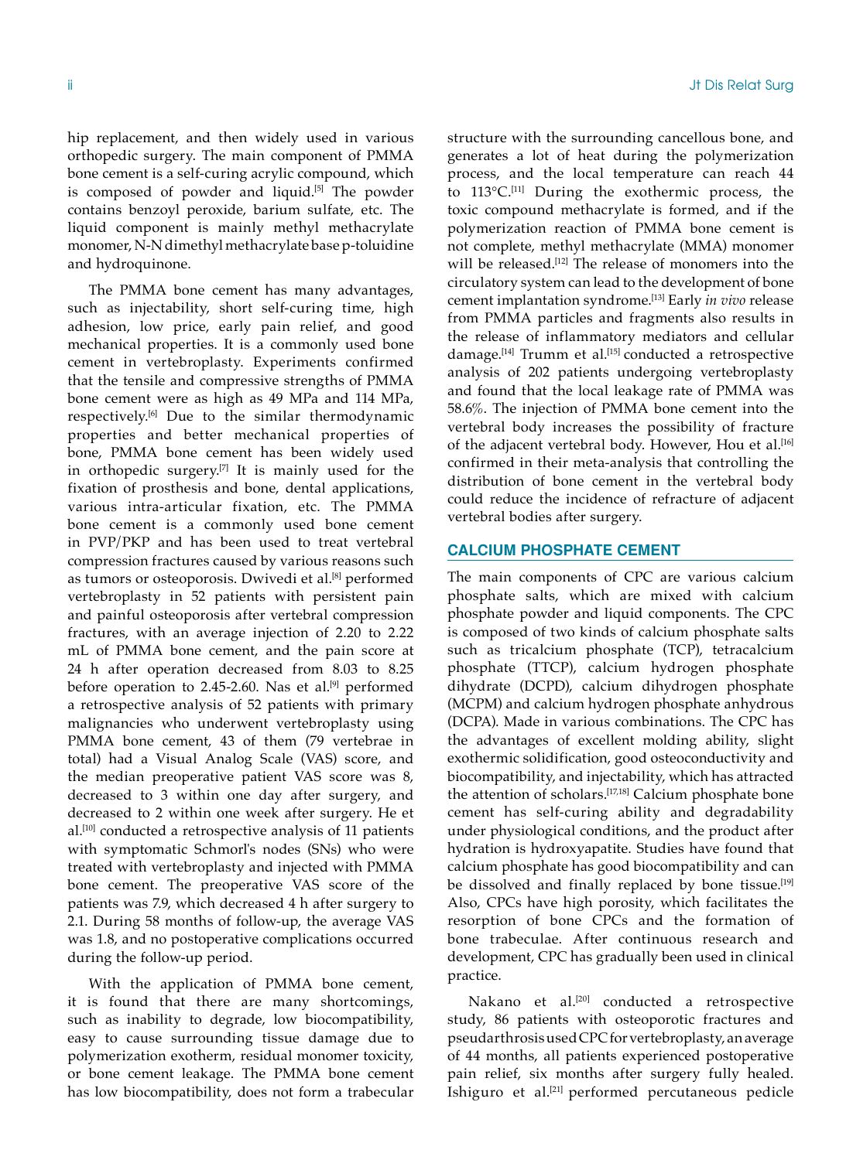hip replacement, and then widely used in various orthopedic surgery. The main component of PMMA bone cement is a self-curing acrylic compound, which is composed of powder and liquid.<sup>[5]</sup> The powder contains benzoyl peroxide, barium sulfate, etc. The liquid component is mainly methyl methacrylate monomer, N-N dimethyl methacrylate base p-toluidine and hydroquinone.

The PMMA bone cement has many advantages, such as injectability, short self-curing time, high adhesion, low price, early pain relief, and good mechanical properties. It is a commonly used bone cement in vertebroplasty. Experiments confirmed that the tensile and compressive strengths of PMMA bone cement were as high as 49 MPa and 114 MPa, respectively.[6] Due to the similar thermodynamic properties and better mechanical properties of bone, PMMA bone cement has been widely used in orthopedic surgery.<sup>[7]</sup> It is mainly used for the fixation of prosthesis and bone, dental applications, various intra-articular fixation, etc. The PMMA bone cement is a commonly used bone cement in PVP/PKP and has been used to treat vertebral compression fractures caused by various reasons such as tumors or osteoporosis. Dwivedi et al.<sup>[8]</sup> performed vertebroplasty in 52 patients with persistent pain and painful osteoporosis after vertebral compression fractures, with an average injection of 2.20 to 2.22 mL of PMMA bone cement, and the pain score at 24 h after operation decreased from 8.03 to 8.25 before operation to 2.45-2.60. Nas et al. $[9]$  performed a retrospective analysis of 52 patients with primary malignancies who underwent vertebroplasty using PMMA bone cement, 43 of them (79 vertebrae in total) had a Visual Analog Scale (VAS) score, and the median preoperative patient VAS score was 8, decreased to 3 within one day after surgery, and decreased to 2 within one week after surgery. He et al.[10] conducted a retrospective analysis of 11 patients with symptomatic Schmorl's nodes (SNs) who were treated with vertebroplasty and injected with PMMA bone cement. The preoperative VAS score of the patients was 7.9, which decreased 4 h after surgery to 2.1. During 58 months of follow-up, the average VAS was 1.8, and no postoperative complications occurred during the follow-up period.

With the application of PMMA bone cement, it is found that there are many shortcomings, such as inability to degrade, low biocompatibility, easy to cause surrounding tissue damage due to polymerization exotherm, residual monomer toxicity, or bone cement leakage. The PMMA bone cement has low biocompatibility, does not form a trabecular structure with the surrounding cancellous bone, and generates a lot of heat during the polymerization process, and the local temperature can reach 44 to 113°C.[11] During the exothermic process, the toxic compound methacrylate is formed, and if the polymerization reaction of PMMA bone cement is not complete, methyl methacrylate (MMA) monomer will be released.<sup>[12]</sup> The release of monomers into the circulatory system can lead to the development of bone cement implantation syndrome.[13] Early *in vivo* release from PMMA particles and fragments also results in the release of inflammatory mediators and cellular damage.<sup>[14]</sup> Trumm et al.<sup>[15]</sup> conducted a retrospective analysis of 202 patients undergoing vertebroplasty and found that the local leakage rate of PMMA was 58.6%. The injection of PMMA bone cement into the vertebral body increases the possibility of fracture of the adjacent vertebral body. However, Hou et al.<sup>[16]</sup> confirmed in their meta-analysis that controlling the distribution of bone cement in the vertebral body could reduce the incidence of refracture of adjacent vertebral bodies after surgery.

# **Calcium Phosphate Cement**

The main components of CPC are various calcium phosphate salts, which are mixed with calcium phosphate powder and liquid components. The CPC is composed of two kinds of calcium phosphate salts such as tricalcium phosphate (TCP), tetracalcium phosphate (TTCP), calcium hydrogen phosphate dihydrate (DCPD), calcium dihydrogen phosphate (MCPM) and calcium hydrogen phosphate anhydrous (DCPA). Made in various combinations. The CPC has the advantages of excellent molding ability, slight exothermic solidification, good osteoconductivity and biocompatibility, and injectability, which has attracted the attention of scholars.[17,18] Calcium phosphate bone cement has self-curing ability and degradability under physiological conditions, and the product after hydration is hydroxyapatite. Studies have found that calcium phosphate has good biocompatibility and can be dissolved and finally replaced by bone tissue.[19] Also, CPCs have high porosity, which facilitates the resorption of bone CPCs and the formation of bone trabeculae. After continuous research and development, CPC has gradually been used in clinical practice.

Nakano et al.<sup>[20]</sup> conducted a retrospective study, 86 patients with osteoporotic fractures and pseudarthrosis used CPC for vertebroplasty, an average of 44 months, all patients experienced postoperative pain relief, six months after surgery fully healed. Ishiguro et al.[21] performed percutaneous pedicle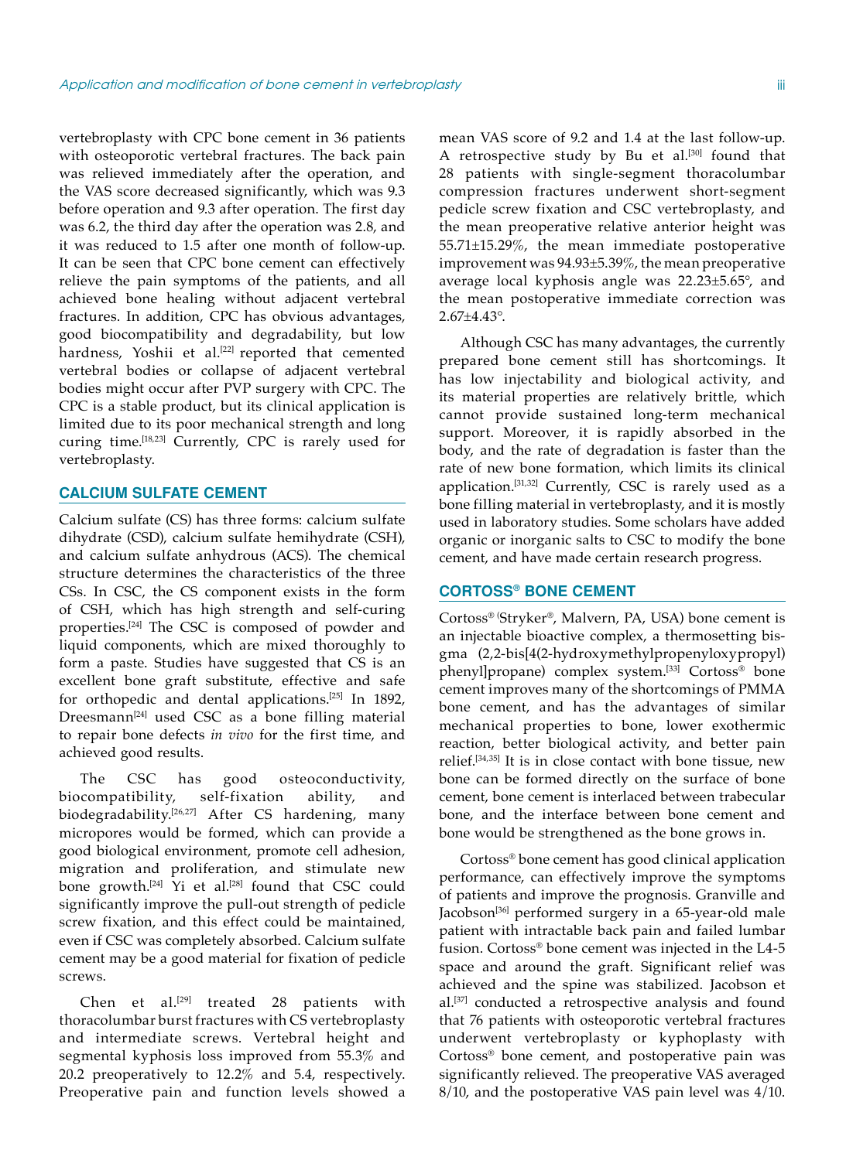vertebroplasty with CPC bone cement in 36 patients with osteoporotic vertebral fractures. The back pain was relieved immediately after the operation, and the VAS score decreased significantly, which was 9.3 before operation and 9.3 after operation. The first day was 6.2, the third day after the operation was 2.8, and it was reduced to 1.5 after one month of follow-up. It can be seen that CPC bone cement can effectively relieve the pain symptoms of the patients, and all achieved bone healing without adjacent vertebral fractures. In addition, CPC has obvious advantages, good biocompatibility and degradability, but low hardness, Yoshii et al.<sup>[22]</sup> reported that cemented vertebral bodies or collapse of adjacent vertebral bodies might occur after PVP surgery with CPC. The CPC is a stable product, but its clinical application is limited due to its poor mechanical strength and long curing time.[18,23] Currently, CPC is rarely used for vertebroplasty.

# **Calcium Sulfate Cement**

Calcium sulfate (CS) has three forms: calcium sulfate dihydrate (CSD), calcium sulfate hemihydrate (CSH), and calcium sulfate anhydrous (ACS). The chemical structure determines the characteristics of the three CSs. In CSC, the CS component exists in the form of CSH, which has high strength and self-curing properties.[24] The CSC is composed of powder and liquid components, which are mixed thoroughly to form a paste. Studies have suggested that CS is an excellent bone graft substitute, effective and safe for orthopedic and dental applications.[25] In 1892, Dreesmann<sup>[24]</sup> used CSC as a bone filling material to repair bone defects *in vivo* for the first time, and achieved good results.

The CSC has good osteoconductivity, biocompatibility, self-fixation ability, and biodegradability.[26,27] After CS hardening, many micropores would be formed, which can provide a good biological environment, promote cell adhesion, migration and proliferation, and stimulate new bone growth.[24] Yi et al.[28] found that CSC could significantly improve the pull-out strength of pedicle screw fixation, and this effect could be maintained, even if CSC was completely absorbed. Calcium sulfate cement may be a good material for fixation of pedicle screws.

Chen et al.<sup>[29]</sup> treated 28 patients with thoracolumbar burst fractures with CS vertebroplasty and intermediate screws. Vertebral height and segmental kyphosis loss improved from 55.3% and 20.2 preoperatively to 12.2% and 5.4, respectively. Preoperative pain and function levels showed a mean VAS score of 9.2 and 1.4 at the last follow-up. A retrospective study by Bu et al.[30] found that 28 patients with single-segment thoracolumbar compression fractures underwent short-segment pedicle screw fixation and CSC vertebroplasty, and the mean preoperative relative anterior height was 55.71±15.29%, the mean immediate postoperative improvement was 94.93±5.39%, the mean preoperative average local kyphosis angle was 22.23±5.65°, and the mean postoperative immediate correction was 2.67±4.43°.

Although CSC has many advantages, the currently prepared bone cement still has shortcomings. It has low injectability and biological activity, and its material properties are relatively brittle, which cannot provide sustained long-term mechanical support. Moreover, it is rapidly absorbed in the body, and the rate of degradation is faster than the rate of new bone formation, which limits its clinical application.[31,32] Currently, CSC is rarely used as a bone filling material in vertebroplasty, and it is mostly used in laboratory studies. Some scholars have added organic or inorganic salts to CSC to modify the bone cement, and have made certain research progress.

#### **Cortoss® Bone Cement**

Cortoss® (Stryker®, Malvern, PA, USA) bone cement is an injectable bioactive complex, a thermosetting bisgma (2,2-bis[4(2-hydroxymethylpropenyloxypropyl) phenyl]propane) complex system.[33] Cortoss® bone cement improves many of the shortcomings of PMMA bone cement, and has the advantages of similar mechanical properties to bone, lower exothermic reaction, better biological activity, and better pain relief.[34,35] It is in close contact with bone tissue, new bone can be formed directly on the surface of bone cement, bone cement is interlaced between trabecular bone, and the interface between bone cement and bone would be strengthened as the bone grows in.

Cortoss® bone cement has good clinical application performance, can effectively improve the symptoms of patients and improve the prognosis. Granville and Jacobson<sup>[36]</sup> performed surgery in a 65-year-old male patient with intractable back pain and failed lumbar fusion. Cortoss® bone cement was injected in the L4-5 space and around the graft. Significant relief was achieved and the spine was stabilized. Jacobson et al.[37] conducted a retrospective analysis and found that 76 patients with osteoporotic vertebral fractures underwent vertebroplasty or kyphoplasty with Cortoss® bone cement, and postoperative pain was significantly relieved. The preoperative VAS averaged 8/10, and the postoperative VAS pain level was 4/10.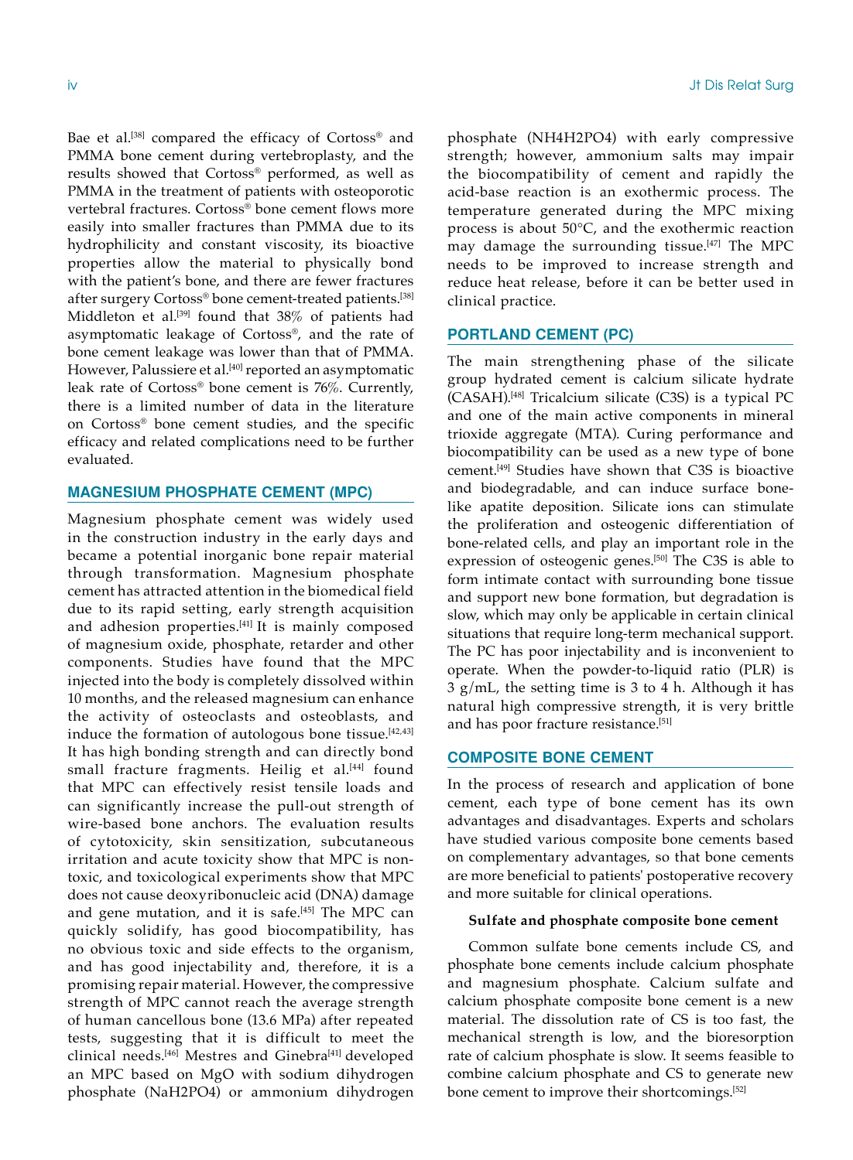Bae et al.<sup>[38]</sup> compared the efficacy of Cortoss® and PMMA bone cement during vertebroplasty, and the results showed that Cortoss® performed, as well as PMMA in the treatment of patients with osteoporotic vertebral fractures. Cortoss® bone cement flows more easily into smaller fractures than PMMA due to its hydrophilicity and constant viscosity, its bioactive properties allow the material to physically bond with the patient's bone, and there are fewer fractures after surgery Cortoss® bone cement-treated patients.<sup>[38]</sup> Middleton et al.<sup>[39]</sup> found that 38% of patients had asymptomatic leakage of Cortoss®, and the rate of bone cement leakage was lower than that of PMMA. However, Palussiere et al.<sup>[40]</sup> reported an asymptomatic leak rate of Cortoss® bone cement is 76%. Currently, there is a limited number of data in the literature on Cortoss® bone cement studies, and the specific efficacy and related complications need to be further evaluated.

# **Magnesium Phosphate Cement (MPC)**

Magnesium phosphate cement was widely used in the construction industry in the early days and became a potential inorganic bone repair material through transformation. Magnesium phosphate cement has attracted attention in the biomedical field due to its rapid setting, early strength acquisition and adhesion properties.<sup>[41]</sup> It is mainly composed of magnesium oxide, phosphate, retarder and other components. Studies have found that the MPC injected into the body is completely dissolved within 10 months, and the released magnesium can enhance the activity of osteoclasts and osteoblasts, and induce the formation of autologous bone tissue.<sup>[42,43]</sup> It has high bonding strength and can directly bond small fracture fragments. Heilig et al.<sup>[44]</sup> found that MPC can effectively resist tensile loads and can significantly increase the pull-out strength of wire-based bone anchors. The evaluation results of cytotoxicity, skin sensitization, subcutaneous irritation and acute toxicity show that MPC is nontoxic, and toxicological experiments show that MPC does not cause deoxyribonucleic acid (DNA) damage and gene mutation, and it is safe.<sup>[45]</sup> The MPC can quickly solidify, has good biocompatibility, has no obvious toxic and side effects to the organism, and has good injectability and, therefore, it is a promising repair material. However, the compressive strength of MPC cannot reach the average strength of human cancellous bone (13.6 MPa) after repeated tests, suggesting that it is difficult to meet the clinical needs.[46] Mestres and Ginebra[41] developed an MPC based on MgO with sodium dihydrogen phosphate (NaH2PO4) or ammonium dihydrogen phosphate (NH4H2PO4) with early compressive strength; however, ammonium salts may impair the biocompatibility of cement and rapidly the acid-base reaction is an exothermic process. The temperature generated during the MPC mixing process is about 50°C, and the exothermic reaction may damage the surrounding tissue.<sup>[47]</sup> The MPC needs to be improved to increase strength and reduce heat release, before it can be better used in

# **Portland Cement (PC)**

clinical practice.

The main strengthening phase of the silicate group hydrated cement is calcium silicate hydrate (CASAH).[48] Tricalcium silicate (C3S) is a typical PC and one of the main active components in mineral trioxide aggregate (MTA). Curing performance and biocompatibility can be used as a new type of bone cement.[49] Studies have shown that C3S is bioactive and biodegradable, and can induce surface bonelike apatite deposition. Silicate ions can stimulate the proliferation and osteogenic differentiation of bone-related cells, and play an important role in the expression of osteogenic genes.[50] The C3S is able to form intimate contact with surrounding bone tissue and support new bone formation, but degradation is slow, which may only be applicable in certain clinical situations that require long-term mechanical support. The PC has poor injectability and is inconvenient to operate. When the powder-to-liquid ratio (PLR) is 3 g/mL, the setting time is 3 to 4 h. Although it has natural high compressive strength, it is very brittle and has poor fracture resistance.<sup>[51]</sup>

## **Composite bone cement**

In the process of research and application of bone cement, each type of bone cement has its own advantages and disadvantages. Experts and scholars have studied various composite bone cements based on complementary advantages, so that bone cements are more beneficial to patients' postoperative recovery and more suitable for clinical operations.

# **Sulfate and phosphate composite bone cement**

Common sulfate bone cements include CS, and phosphate bone cements include calcium phosphate and magnesium phosphate. Calcium sulfate and calcium phosphate composite bone cement is a new material. The dissolution rate of CS is too fast, the mechanical strength is low, and the bioresorption rate of calcium phosphate is slow. It seems feasible to combine calcium phosphate and CS to generate new bone cement to improve their shortcomings.[52]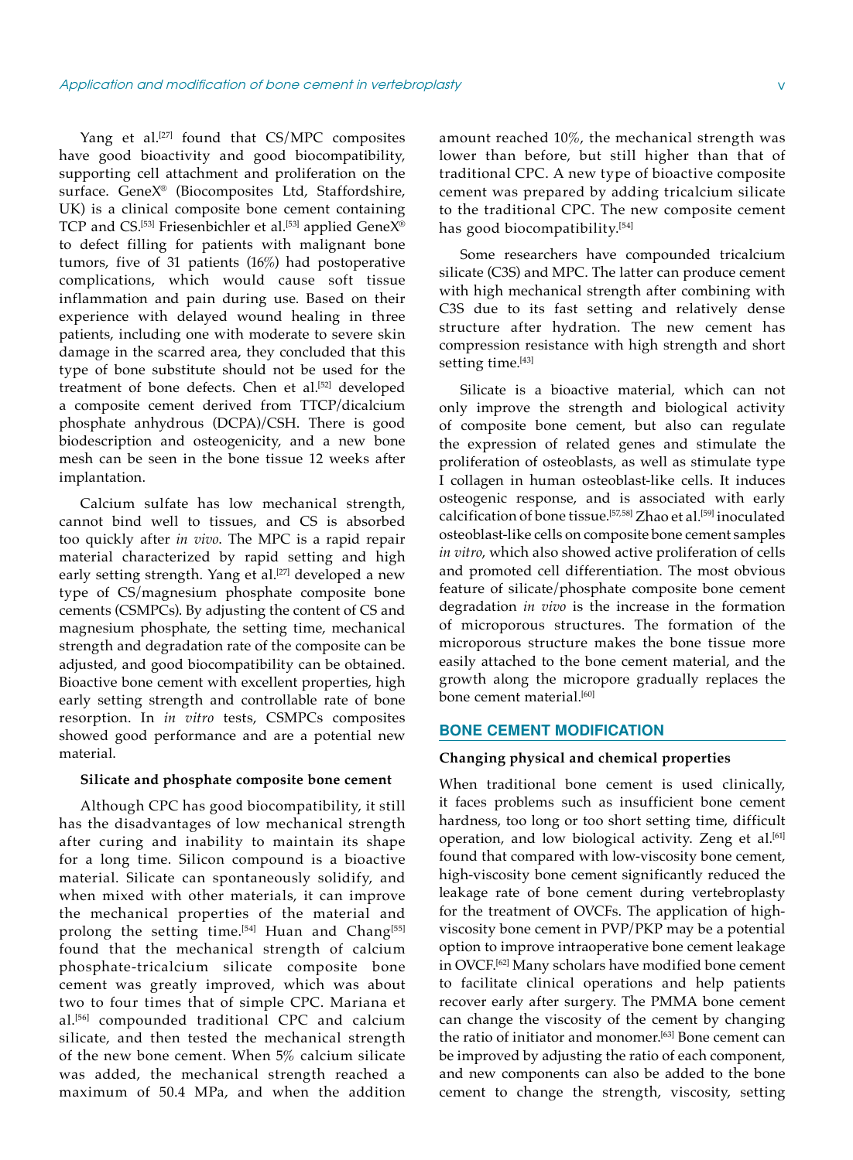Yang et al.<sup>[27]</sup> found that CS/MPC composites have good bioactivity and good biocompatibility, supporting cell attachment and proliferation on the surface. GeneX® (Biocomposites Ltd, Staffordshire, UK) is a clinical composite bone cement containing TCP and CS.<sup>[53]</sup> Friesenbichler et al.<sup>[53]</sup> applied GeneX® to defect filling for patients with malignant bone tumors, five of 31 patients (16%) had postoperative complications, which would cause soft tissue inflammation and pain during use. Based on their experience with delayed wound healing in three patients, including one with moderate to severe skin damage in the scarred area, they concluded that this type of bone substitute should not be used for the treatment of bone defects. Chen et al.<sup>[52]</sup> developed a composite cement derived from TTCP/dicalcium phosphate anhydrous (DCPA)/CSH. There is good biodescription and osteogenicity, and a new bone mesh can be seen in the bone tissue 12 weeks after implantation.

Calcium sulfate has low mechanical strength, cannot bind well to tissues, and CS is absorbed too quickly after *in vivo*. The MPC is a rapid repair material characterized by rapid setting and high early setting strength. Yang et al.<sup>[27]</sup> developed a new type of CS/magnesium phosphate composite bone cements (CSMPCs). By adjusting the content of CS and magnesium phosphate, the setting time, mechanical strength and degradation rate of the composite can be adjusted, and good biocompatibility can be obtained. Bioactive bone cement with excellent properties, high early setting strength and controllable rate of bone resorption. In *in vitro* tests, CSMPCs composites showed good performance and are a potential new material.

## **Silicate and phosphate composite bone cement**

Although CPC has good biocompatibility, it still has the disadvantages of low mechanical strength after curing and inability to maintain its shape for a long time. Silicon compound is a bioactive material. Silicate can spontaneously solidify, and when mixed with other materials, it can improve the mechanical properties of the material and prolong the setting time.<sup>[54]</sup> Huan and Chang<sup>[55]</sup> found that the mechanical strength of calcium phosphate-tricalcium silicate composite bone cement was greatly improved, which was about two to four times that of simple CPC. Mariana et al.[56] compounded traditional CPC and calcium silicate, and then tested the mechanical strength of the new bone cement. When 5% calcium silicate was added, the mechanical strength reached a maximum of 50.4 MPa, and when the addition amount reached 10%, the mechanical strength was lower than before, but still higher than that of traditional CPC. A new type of bioactive composite cement was prepared by adding tricalcium silicate to the traditional CPC. The new composite cement has good biocompatibility.[54]

Some researchers have compounded tricalcium silicate (C3S) and MPC. The latter can produce cement with high mechanical strength after combining with C3S due to its fast setting and relatively dense structure after hydration. The new cement has compression resistance with high strength and short setting time.<sup>[43]</sup>

Silicate is a bioactive material, which can not only improve the strength and biological activity of composite bone cement, but also can regulate the expression of related genes and stimulate the proliferation of osteoblasts, as well as stimulate type I collagen in human osteoblast-like cells. It induces osteogenic response, and is associated with early calcification of bone tissue.[57,58] Zhao et al.[59] inoculated osteoblast-like cells on composite bone cement samples *in vitro*, which also showed active proliferation of cells and promoted cell differentiation. The most obvious feature of silicate/phosphate composite bone cement degradation *in vivo* is the increase in the formation of microporous structures. The formation of the microporous structure makes the bone tissue more easily attached to the bone cement material, and the growth along the micropore gradually replaces the bone cement material.<sup>[60]</sup>

### **Bone cement modification**

#### **Changing physical and chemical properties**

When traditional bone cement is used clinically, it faces problems such as insufficient bone cement hardness, too long or too short setting time, difficult operation, and low biological activity. Zeng et al.<sup>[61]</sup> found that compared with low-viscosity bone cement, high-viscosity bone cement significantly reduced the leakage rate of bone cement during vertebroplasty for the treatment of OVCFs. The application of highviscosity bone cement in PVP/PKP may be a potential option to improve intraoperative bone cement leakage in OVCF.<sup>[62]</sup> Many scholars have modified bone cement to facilitate clinical operations and help patients recover early after surgery. The PMMA bone cement can change the viscosity of the cement by changing the ratio of initiator and monomer.<sup>[63]</sup> Bone cement can be improved by adjusting the ratio of each component, and new components can also be added to the bone cement to change the strength, viscosity, setting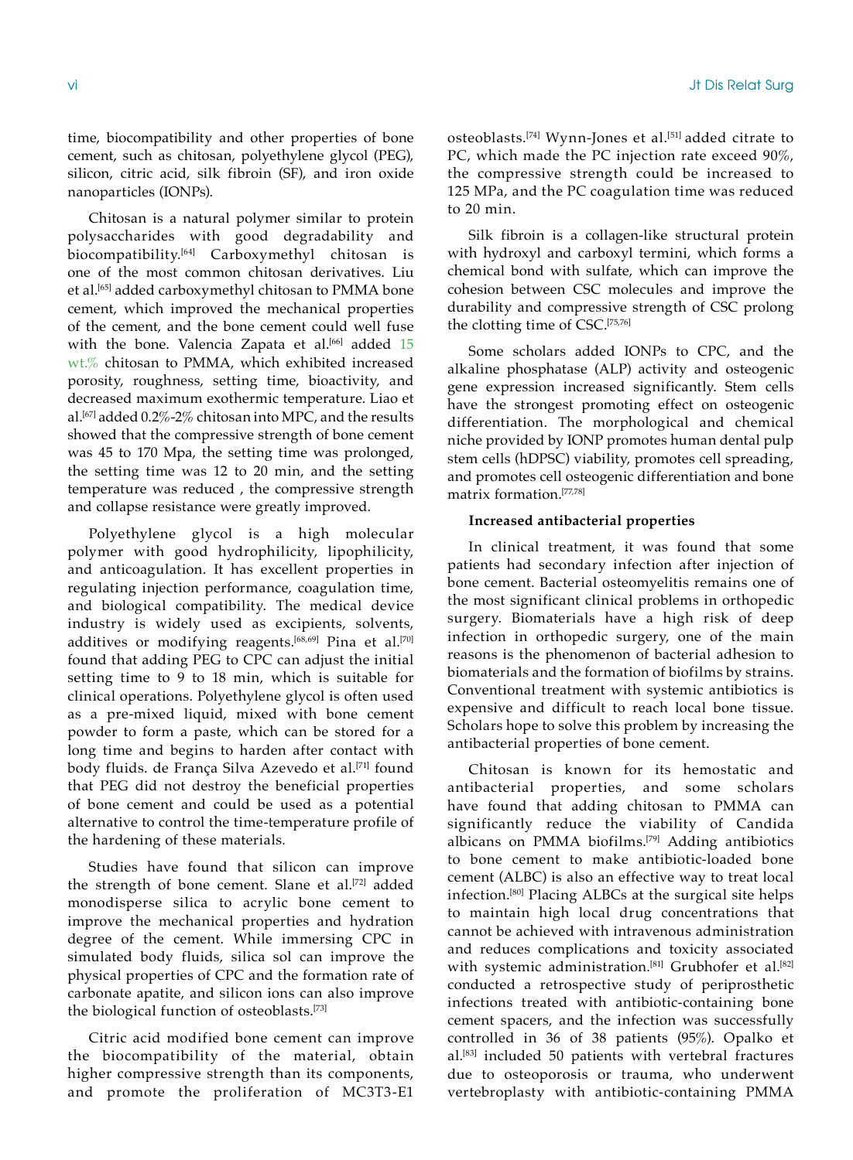time, biocompatibility and other properties of bone cement, such as chitosan, polyethylene glycol (PEG), silicon, citric acid, silk fibroin (SF), and iron oxide nanoparticles (IONPs).

Chitosan is a natural polymer similar to protein polysaccharides with good degradability and biocompatibility.[64] Carboxymethyl chitosan is one of the most common chitosan derivatives. Liu et al.<sup>[65]</sup> added carboxymethyl chitosan to PMMA bone cement, which improved the mechanical properties of the cement, and the bone cement could well fuse with the bone. Valencia Zapata et al.<sup>[66]</sup> added 15 wt.% chitosan to PMMA, which exhibited increased porosity, roughness, setting time, bioactivity, and decreased maximum exothermic temperature. Liao et al.[67] added 0.2%-2% chitosan into MPC, and the results showed that the compressive strength of bone cement was 45 to 170 Mpa, the setting time was prolonged, the setting time was 12 to 20 min, and the setting temperature was reduced , the compressive strength and collapse resistance were greatly improved.

Polyethylene glycol is a high molecular polymer with good hydrophilicity, lipophilicity, and anticoagulation. It has excellent properties in regulating injection performance, coagulation time, and biological compatibility. The medical device industry is widely used as excipients, solvents, additives or modifying reagents.<sup>[68,69]</sup> Pina et al.<sup>[70]</sup> found that adding PEG to CPC can adjust the initial setting time to 9 to 18 min, which is suitable for clinical operations. Polyethylene glycol is often used as a pre-mixed liquid, mixed with bone cement powder to form a paste, which can be stored for a long time and begins to harden after contact with body fluids. de França Silva Azevedo et al.[71] found that PEG did not destroy the beneficial properties of bone cement and could be used as a potential alternative to control the time-temperature profile of the hardening of these materials.

Studies have found that silicon can improve the strength of bone cement. Slane et al.<sup>[72]</sup> added monodisperse silica to acrylic bone cement to improve the mechanical properties and hydration degree of the cement. While immersing CPC in simulated body fluids, silica sol can improve the physical properties of CPC and the formation rate of carbonate apatite, and silicon ions can also improve the biological function of osteoblasts.[73]

Citric acid modified bone cement can improve the biocompatibility of the material, obtain higher compressive strength than its components, and promote the proliferation of MC3T3-E1 osteoblasts.<sup>[74]</sup> Wynn-Jones et al.<sup>[51]</sup> added citrate to PC, which made the PC injection rate exceed 90%, the compressive strength could be increased to 125 MPa, and the PC coagulation time was reduced to 20 min.

Silk fibroin is a collagen-like structural protein with hydroxyl and carboxyl termini, which forms a chemical bond with sulfate, which can improve the cohesion between CSC molecules and improve the durability and compressive strength of CSC prolong the clotting time of CSC.[75,76]

Some scholars added IONPs to CPC, and the alkaline phosphatase (ALP) activity and osteogenic gene expression increased significantly. Stem cells have the strongest promoting effect on osteogenic differentiation. The morphological and chemical niche provided by IONP promotes human dental pulp stem cells (hDPSC) viability, promotes cell spreading, and promotes cell osteogenic differentiation and bone matrix formation.[77,78]

## **Increased antibacterial properties**

In clinical treatment, it was found that some patients had secondary infection after injection of bone cement. Bacterial osteomyelitis remains one of the most significant clinical problems in orthopedic surgery. Biomaterials have a high risk of deep infection in orthopedic surgery, one of the main reasons is the phenomenon of bacterial adhesion to biomaterials and the formation of biofilms by strains. Conventional treatment with systemic antibiotics is expensive and difficult to reach local bone tissue. Scholars hope to solve this problem by increasing the antibacterial properties of bone cement.

Chitosan is known for its hemostatic and antibacterial properties, and some scholars have found that adding chitosan to PMMA can significantly reduce the viability of Candida albicans on PMMA biofilms.[79] Adding antibiotics to bone cement to make antibiotic-loaded bone cement (ALBC) is also an effective way to treat local infection.[80] Placing ALBCs at the surgical site helps to maintain high local drug concentrations that cannot be achieved with intravenous administration and reduces complications and toxicity associated with systemic administration.<sup>[81]</sup> Grubhofer et al.<sup>[82]</sup> conducted a retrospective study of periprosthetic infections treated with antibiotic-containing bone cement spacers, and the infection was successfully controlled in 36 of 38 patients (95%). Opalko et al.[83] included 50 patients with vertebral fractures due to osteoporosis or trauma, who underwent vertebroplasty with antibiotic-containing PMMA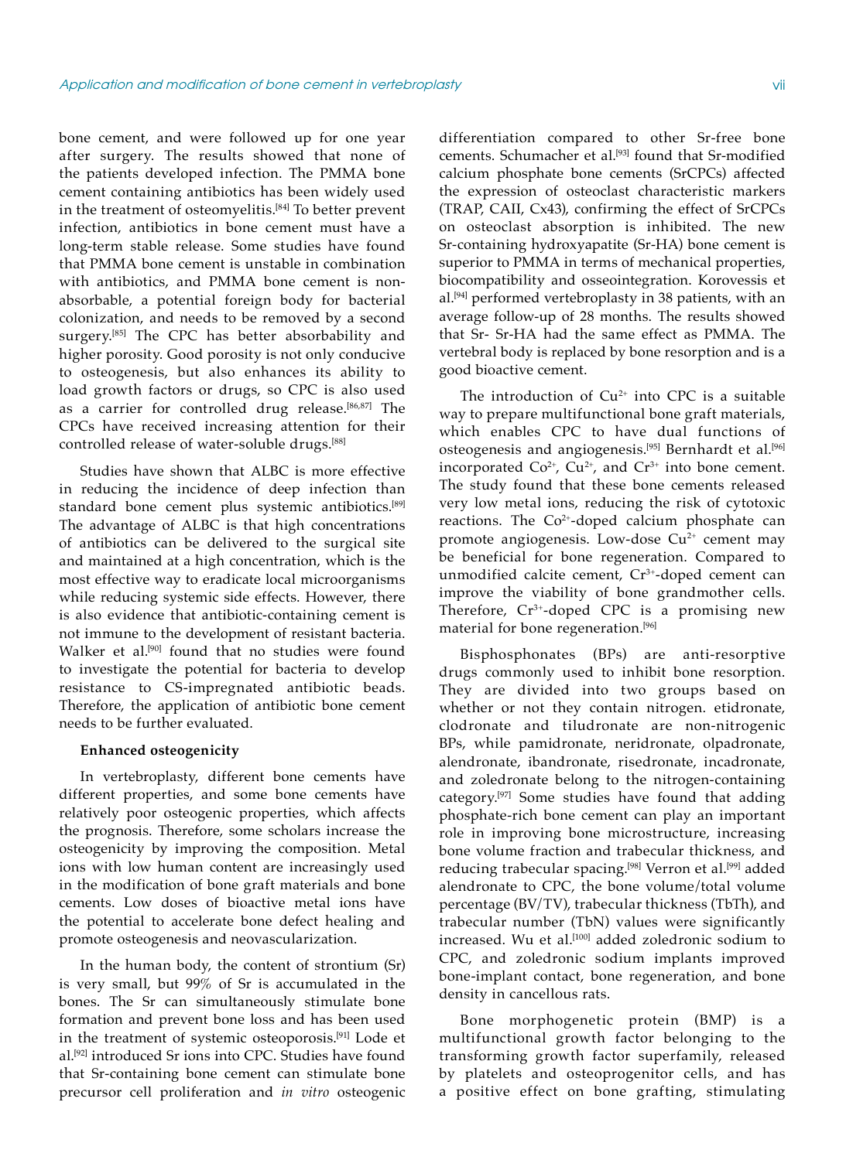bone cement, and were followed up for one year after surgery. The results showed that none of the patients developed infection. The PMMA bone cement containing antibiotics has been widely used in the treatment of osteomyelitis.<sup>[84]</sup> To better prevent infection, antibiotics in bone cement must have a long-term stable release. Some studies have found that PMMA bone cement is unstable in combination with antibiotics, and PMMA bone cement is nonabsorbable, a potential foreign body for bacterial colonization, and needs to be removed by a second surgery.<sup>[85]</sup> The CPC has better absorbability and higher porosity. Good porosity is not only conducive to osteogenesis, but also enhances its ability to load growth factors or drugs, so CPC is also used as a carrier for controlled drug release.[86,87] The CPCs have received increasing attention for their controlled release of water-soluble drugs.[88]

Studies have shown that ALBC is more effective in reducing the incidence of deep infection than standard bone cement plus systemic antibiotics.<sup>[89]</sup> The advantage of ALBC is that high concentrations of antibiotics can be delivered to the surgical site and maintained at a high concentration, which is the most effective way to eradicate local microorganisms while reducing systemic side effects. However, there is also evidence that antibiotic-containing cement is not immune to the development of resistant bacteria. Walker et al.<sup>[90]</sup> found that no studies were found to investigate the potential for bacteria to develop resistance to CS-impregnated antibiotic beads. Therefore, the application of antibiotic bone cement needs to be further evaluated.

#### **Enhanced osteogenicity**

In vertebroplasty, different bone cements have different properties, and some bone cements have relatively poor osteogenic properties, which affects the prognosis. Therefore, some scholars increase the osteogenicity by improving the composition. Metal ions with low human content are increasingly used in the modification of bone graft materials and bone cements. Low doses of bioactive metal ions have the potential to accelerate bone defect healing and promote osteogenesis and neovascularization.

In the human body, the content of strontium (Sr) is very small, but 99% of Sr is accumulated in the bones. The Sr can simultaneously stimulate bone formation and prevent bone loss and has been used in the treatment of systemic osteoporosis.[91] Lode et al.[92] introduced Sr ions into CPC. Studies have found that Sr-containing bone cement can stimulate bone precursor cell proliferation and *in vitro* osteogenic

differentiation compared to other Sr-free bone cements. Schumacher et al.<sup>[93]</sup> found that Sr-modified calcium phosphate bone cements (SrCPCs) affected the expression of osteoclast characteristic markers (TRAP, CAII, Cx43), confirming the effect of SrCPCs on osteoclast absorption is inhibited. The new Sr-containing hydroxyapatite (Sr-HA) bone cement is superior to PMMA in terms of mechanical properties, biocompatibility and osseointegration. Korovessis et al.[94] performed vertebroplasty in 38 patients, with an average follow-up of 28 months. The results showed that Sr- Sr-HA had the same effect as PMMA. The vertebral body is replaced by bone resorption and is a good bioactive cement.

The introduction of  $Cu^{2+}$  into CPC is a suitable way to prepare multifunctional bone graft materials, which enables CPC to have dual functions of osteogenesis and angiogenesis.<sup>[95]</sup> Bernhardt et al.<sup>[96]</sup> incorporated  $Co^{2+}$ ,  $Cu^{2+}$ , and  $Cr^{3+}$  into bone cement. The study found that these bone cements released very low metal ions, reducing the risk of cytotoxic reactions. The  $Co^{2+}$ -doped calcium phosphate can promote angiogenesis. Low-dose  $Cu<sup>2+</sup>$  cement may be beneficial for bone regeneration. Compared to unmodified calcite cement, Cr<sup>3+</sup>-doped cement can improve the viability of bone grandmother cells. Therefore, Cr<sup>3+</sup>-doped CPC is a promising new material for bone regeneration.<sup>[96]</sup>

Bisphosphonates (BPs) are anti-resorptive drugs commonly used to inhibit bone resorption. They are divided into two groups based on whether or not they contain nitrogen. etidronate, clodronate and tiludronate are non-nitrogenic BPs, while pamidronate, neridronate, olpadronate, alendronate, ibandronate, risedronate, incadronate, and zoledronate belong to the nitrogen-containing category.[97] Some studies have found that adding phosphate-rich bone cement can play an important role in improving bone microstructure, increasing bone volume fraction and trabecular thickness, and reducing trabecular spacing.<sup>[98]</sup> Verron et al.<sup>[99]</sup> added alendronate to CPC, the bone volume/total volume percentage (BV/TV), trabecular thickness (TbTh), and trabecular number (TbN) values were significantly increased. Wu et al.<sup>[100]</sup> added zoledronic sodium to CPC, and zoledronic sodium implants improved bone-implant contact, bone regeneration, and bone density in cancellous rats.

Bone morphogenetic protein (BMP) is a multifunctional growth factor belonging to the transforming growth factor superfamily, released by platelets and osteoprogenitor cells, and has a positive effect on bone grafting, stimulating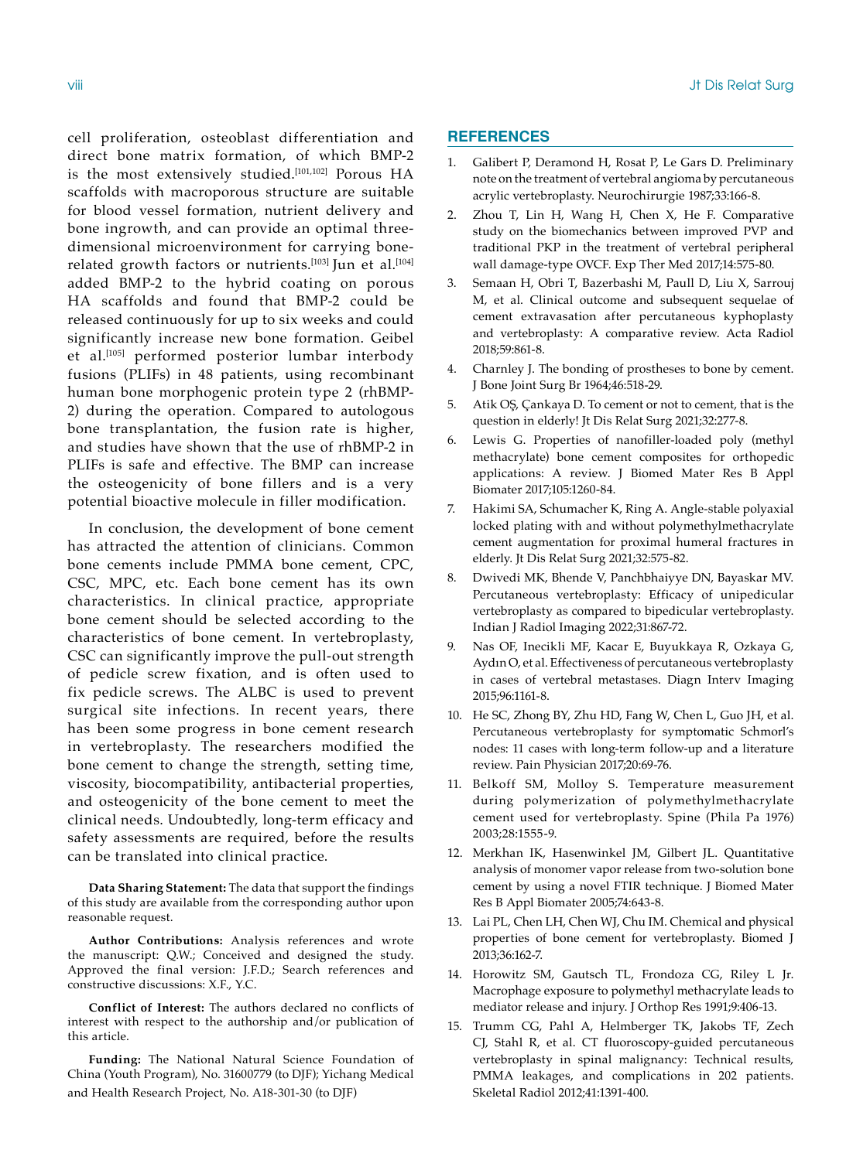cell proliferation, osteoblast differentiation and direct bone matrix formation, of which BMP-2 is the most extensively studied.<sup>[101,102]</sup> Porous HA scaffolds with macroporous structure are suitable for blood vessel formation, nutrient delivery and bone ingrowth, and can provide an optimal threedimensional microenvironment for carrying bonerelated growth factors or nutrients.<sup>[103]</sup> Jun et al.<sup>[104]</sup> added BMP-2 to the hybrid coating on porous HA scaffolds and found that BMP-2 could be released continuously for up to six weeks and could significantly increase new bone formation. Geibel et al.[105] performed posterior lumbar interbody fusions (PLIFs) in 48 patients, using recombinant human bone morphogenic protein type 2 (rhBMP-2) during the operation. Compared to autologous bone transplantation, the fusion rate is higher, and studies have shown that the use of rhBMP-2 in PLIFs is safe and effective. The BMP can increase the osteogenicity of bone fillers and is a very potential bioactive molecule in filler modification.

In conclusion, the development of bone cement has attracted the attention of clinicians. Common bone cements include PMMA bone cement, CPC, CSC, MPC, etc. Each bone cement has its own characteristics. In clinical practice, appropriate bone cement should be selected according to the characteristics of bone cement. In vertebroplasty, CSC can significantly improve the pull-out strength of pedicle screw fixation, and is often used to fix pedicle screws. The ALBC is used to prevent surgical site infections. In recent years, there has been some progress in bone cement research in vertebroplasty. The researchers modified the bone cement to change the strength, setting time, viscosity, biocompatibility, antibacterial properties, and osteogenicity of the bone cement to meet the clinical needs. Undoubtedly, long-term efficacy and safety assessments are required, before the results can be translated into clinical practice.

**Data Sharing Statement:** The data that support the findings of this study are available from the corresponding author upon reasonable request.

**Author Contributions:** Analysis references and wrote the manuscript: Q.W.; Conceived and designed the study. Approved the final version: J.F.D.; Search references and constructive discussions: X.F., Y.C.

**Conflict of Interest:** The authors declared no conflicts of interest with respect to the authorship and/or publication of this article.

**Funding:** The National Natural Science Foundation of China (Youth Program), No. 31600779 (to DJF); Yichang Medical and Health Research Project, No. A18-301-30 (to DJF)

# **REFERENCES**

- 1. Galibert P, Deramond H, Rosat P, Le Gars D. Preliminary note on the treatment of vertebral angioma by percutaneous acrylic vertebroplasty. Neurochirurgie 1987;33:166-8.
- 2. Zhou T, Lin H, Wang H, Chen X, He F. Comparative study on the biomechanics between improved PVP and traditional PKP in the treatment of vertebral peripheral wall damage-type OVCF. Exp Ther Med 2017;14:575-80.
- 3. Semaan H, Obri T, Bazerbashi M, Paull D, Liu X, Sarrouj M, et al. Clinical outcome and subsequent sequelae of cement extravasation after percutaneous kyphoplasty and vertebroplasty: A comparative review. Acta Radiol 2018;59:861-8.
- 4. Charnley J. The bonding of prostheses to bone by cement. J Bone Joint Surg Br 1964;46:518-29.
- 5. Atik OŞ, Çankaya D. To cement or not to cement, that is the question in elderly! Jt Dis Relat Surg 2021;32:277-8.
- 6. Lewis G. Properties of nanofiller-loaded poly (methyl methacrylate) bone cement composites for orthopedic applications: A review. J Biomed Mater Res B Appl Biomater 2017;105:1260-84.
- 7. Hakimi SA, Schumacher K, Ring A. Angle-stable polyaxial locked plating with and without polymethylmethacrylate cement augmentation for proximal humeral fractures in elderly. Jt Dis Relat Surg 2021;32:575-82.
- 8. Dwivedi MK, Bhende V, Panchbhaiyye DN, Bayaskar MV. Percutaneous vertebroplasty: Efficacy of unipedicular vertebroplasty as compared to bipedicular vertebroplasty. Indian J Radiol Imaging 2022;31:867-72.
- 9. Nas OF, Inecikli MF, Kacar E, Buyukkaya R, Ozkaya G, Aydın O, et al. Effectiveness of percutaneous vertebroplasty in cases of vertebral metastases. Diagn Interv Imaging 2015;96:1161-8.
- 10. He SC, Zhong BY, Zhu HD, Fang W, Chen L, Guo JH, et al. Percutaneous vertebroplasty for symptomatic Schmorl's nodes: 11 cases with long-term follow-up and a literature review. Pain Physician 2017;20:69-76.
- 11. Belkoff SM, Molloy S. Temperature measurement during polymerization of polymethylmethacrylate cement used for vertebroplasty. Spine (Phila Pa 1976) 2003;28:1555-9.
- 12. Merkhan IK, Hasenwinkel JM, Gilbert JL. Quantitative analysis of monomer vapor release from two-solution bone cement by using a novel FTIR technique. J Biomed Mater Res B Appl Biomater 2005;74:643-8.
- 13. Lai PL, Chen LH, Chen WJ, Chu IM. Chemical and physical properties of bone cement for vertebroplasty. Biomed J 2013;36:162-7.
- 14. Horowitz SM, Gautsch TL, Frondoza CG, Riley L Jr. Macrophage exposure to polymethyl methacrylate leads to mediator release and injury. J Orthop Res 1991;9:406-13.
- 15. Trumm CG, Pahl A, Helmberger TK, Jakobs TF, Zech CJ, Stahl R, et al. CT fluoroscopy-guided percutaneous vertebroplasty in spinal malignancy: Technical results, PMMA leakages, and complications in 202 patients. Skeletal Radiol 2012;41:1391-400.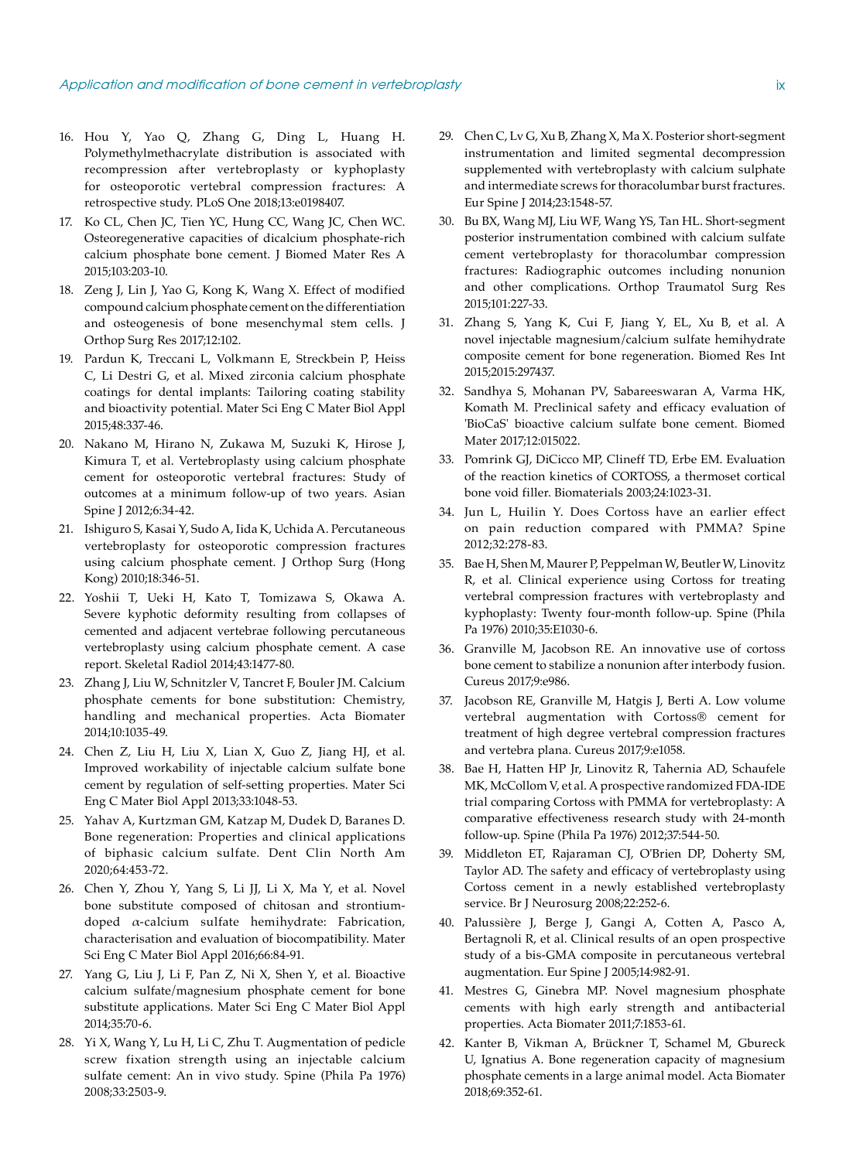- 16. Hou Y, Yao Q, Zhang G, Ding L, Huang H. Polymethylmethacrylate distribution is associated with recompression after vertebroplasty or kyphoplasty for osteoporotic vertebral compression fractures: A retrospective study. PLoS One 2018;13:e0198407.
- 17. Ko CL, Chen JC, Tien YC, Hung CC, Wang JC, Chen WC. Osteoregenerative capacities of dicalcium phosphate-rich calcium phosphate bone cement. J Biomed Mater Res A 2015;103:203-10.
- 18. Zeng J, Lin J, Yao G, Kong K, Wang X. Effect of modified compound calcium phosphate cement on the differentiation and osteogenesis of bone mesenchymal stem cells. J Orthop Surg Res 2017;12:102.
- 19. Pardun K, Treccani L, Volkmann E, Streckbein P, Heiss C, Li Destri G, et al. Mixed zirconia calcium phosphate coatings for dental implants: Tailoring coating stability and bioactivity potential. Mater Sci Eng C Mater Biol Appl 2015;48:337-46.
- 20. Nakano M, Hirano N, Zukawa M, Suzuki K, Hirose J, Kimura T, et al. Vertebroplasty using calcium phosphate cement for osteoporotic vertebral fractures: Study of outcomes at a minimum follow-up of two years. Asian Spine J 2012;6:34-42.
- 21. Ishiguro S, Kasai Y, Sudo A, Iida K, Uchida A. Percutaneous vertebroplasty for osteoporotic compression fractures using calcium phosphate cement. J Orthop Surg (Hong Kong) 2010;18:346-51.
- 22. Yoshii T, Ueki H, Kato T, Tomizawa S, Okawa A. Severe kyphotic deformity resulting from collapses of cemented and adjacent vertebrae following percutaneous vertebroplasty using calcium phosphate cement. A case report. Skeletal Radiol 2014;43:1477-80.
- 23. Zhang J, Liu W, Schnitzler V, Tancret F, Bouler JM. Calcium phosphate cements for bone substitution: Chemistry, handling and mechanical properties. Acta Biomater 2014;10:1035-49.
- 24. Chen Z, Liu H, Liu X, Lian X, Guo Z, Jiang HJ, et al. Improved workability of injectable calcium sulfate bone cement by regulation of self-setting properties. Mater Sci Eng C Mater Biol Appl 2013;33:1048-53.
- 25. Yahav A, Kurtzman GM, Katzap M, Dudek D, Baranes D. Bone regeneration: Properties and clinical applications of biphasic calcium sulfate. Dent Clin North Am 2020;64:453-72.
- 26. Chen Y, Zhou Y, Yang S, Li JJ, Li X, Ma Y, et al. Novel bone substitute composed of chitosan and strontiumdoped  $\alpha$ -calcium sulfate hemihydrate: Fabrication, characterisation and evaluation of biocompatibility. Mater Sci Eng C Mater Biol Appl 2016;66:84-91.
- 27. Yang G, Liu J, Li F, Pan Z, Ni X, Shen Y, et al. Bioactive calcium sulfate/magnesium phosphate cement for bone substitute applications. Mater Sci Eng C Mater Biol Appl 2014;35:70-6.
- 28. Yi X, Wang Y, Lu H, Li C, Zhu T. Augmentation of pedicle screw fixation strength using an injectable calcium sulfate cement: An in vivo study. Spine (Phila Pa 1976) 2008;33:2503-9.
- 29. Chen C, Lv G, Xu B, Zhang X, Ma X. Posterior short-segment instrumentation and limited segmental decompression supplemented with vertebroplasty with calcium sulphate and intermediate screws for thoracolumbar burst fractures. Eur Spine J 2014;23:1548-57.
- 30. Bu BX, Wang MJ, Liu WF, Wang YS, Tan HL. Short-segment posterior instrumentation combined with calcium sulfate cement vertebroplasty for thoracolumbar compression fractures: Radiographic outcomes including nonunion and other complications. Orthop Traumatol Surg Res 2015;101:227-33.
- 31. Zhang S, Yang K, Cui F, Jiang Y, EL, Xu B, et al. A novel injectable magnesium/calcium sulfate hemihydrate composite cement for bone regeneration. Biomed Res Int 2015;2015:297437.
- 32. Sandhya S, Mohanan PV, Sabareeswaran A, Varma HK, Komath M. Preclinical safety and efficacy evaluation of 'BioCaS' bioactive calcium sulfate bone cement. Biomed Mater 2017;12:015022.
- 33. Pomrink GJ, DiCicco MP, Clineff TD, Erbe EM. Evaluation of the reaction kinetics of CORTOSS, a thermoset cortical bone void filler. Biomaterials 2003;24:1023-31.
- 34. Jun L, Huilin Y. Does Cortoss have an earlier effect on pain reduction compared with PMMA? Spine 2012;32:278-83.
- 35. Bae H, Shen M, Maurer P, Peppelman W, Beutler W, Linovitz R, et al. Clinical experience using Cortoss for treating vertebral compression fractures with vertebroplasty and kyphoplasty: Twenty four-month follow-up. Spine (Phila Pa 1976) 2010;35:E1030-6.
- 36. Granville M, Jacobson RE. An innovative use of cortoss bone cement to stabilize a nonunion after interbody fusion. Cureus 2017;9:e986.
- 37. Jacobson RE, Granville M, Hatgis J, Berti A. Low volume vertebral augmentation with Cortoss® cement for treatment of high degree vertebral compression fractures and vertebra plana. Cureus 2017;9:e1058.
- 38. Bae H, Hatten HP Jr, Linovitz R, Tahernia AD, Schaufele MK, McCollom V, et al. A prospective randomized FDA-IDE trial comparing Cortoss with PMMA for vertebroplasty: A comparative effectiveness research study with 24-month follow-up. Spine (Phila Pa 1976) 2012;37:544-50.
- 39. Middleton ET, Rajaraman CJ, O'Brien DP, Doherty SM, Taylor AD. The safety and efficacy of vertebroplasty using Cortoss cement in a newly established vertebroplasty service. Br J Neurosurg 2008;22:252-6.
- 40. Palussière J, Berge J, Gangi A, Cotten A, Pasco A, Bertagnoli R, et al. Clinical results of an open prospective study of a bis-GMA composite in percutaneous vertebral augmentation. Eur Spine J 2005;14:982-91.
- 41. Mestres G, Ginebra MP. Novel magnesium phosphate cements with high early strength and antibacterial properties. Acta Biomater 2011;7:1853-61.
- 42. Kanter B, Vikman A, Brückner T, Schamel M, Gbureck U, Ignatius A. Bone regeneration capacity of magnesium phosphate cements in a large animal model. Acta Biomater 2018;69:352-61.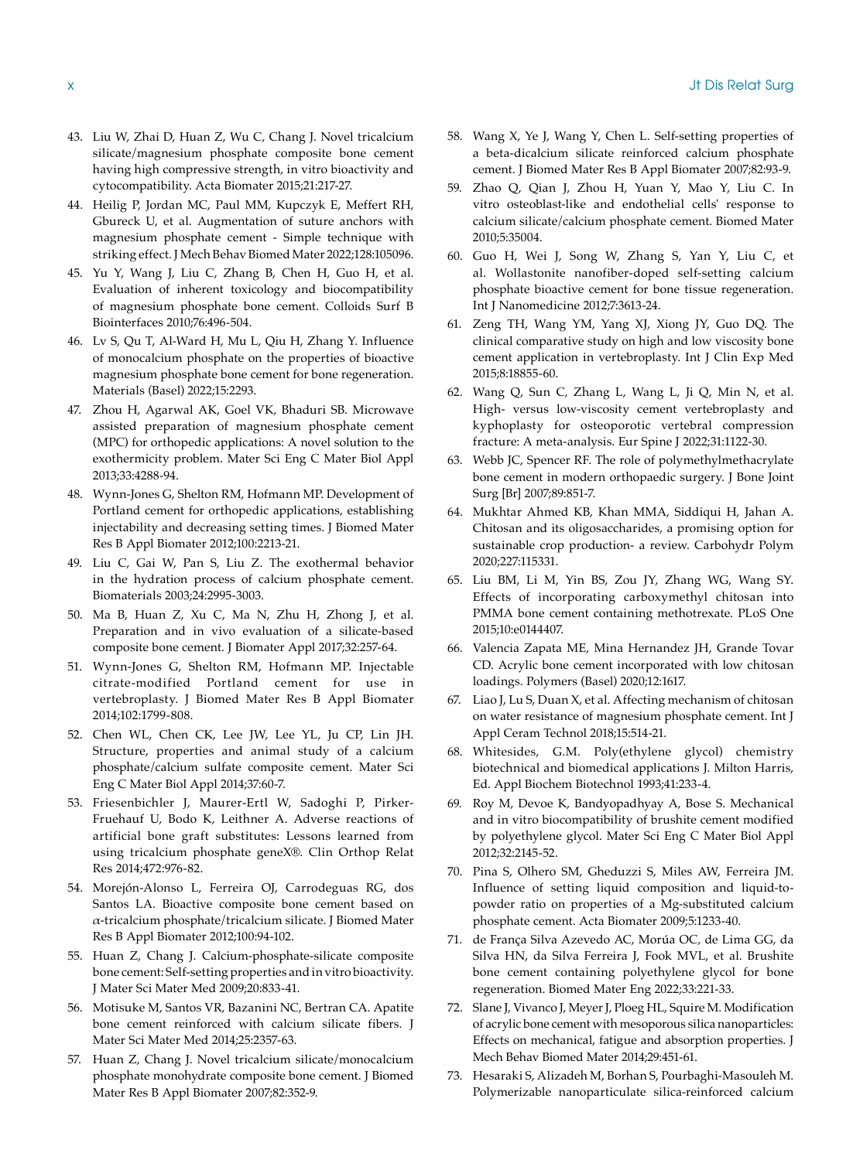- 43. Liu W, Zhai D, Huan Z, Wu C, Chang J. Novel tricalcium silicate/magnesium phosphate composite bone cement having high compressive strength, in vitro bioactivity and cytocompatibility. Acta Biomater 2015;21:217-27.
- 44. Heilig P, Jordan MC, Paul MM, Kupczyk E, Meffert RH, Gbureck U, et al. Augmentation of suture anchors with magnesium phosphate cement - Simple technique with striking effect. J Mech Behav Biomed Mater 2022;128:105096.
- 45. Yu Y, Wang J, Liu C, Zhang B, Chen H, Guo H, et al. Evaluation of inherent toxicology and biocompatibility of magnesium phosphate bone cement. Colloids Surf B Biointerfaces 2010;76:496-504.
- 46. Lv S, Qu T, Al-Ward H, Mu L, Qiu H, Zhang Y. Influence of monocalcium phosphate on the properties of bioactive magnesium phosphate bone cement for bone regeneration. Materials (Basel) 2022;15:2293.
- 47. Zhou H, Agarwal AK, Goel VK, Bhaduri SB. Microwave assisted preparation of magnesium phosphate cement (MPC) for orthopedic applications: A novel solution to the exothermicity problem. Mater Sci Eng C Mater Biol Appl 2013;33:4288-94.
- 48. Wynn-Jones G, Shelton RM, Hofmann MP. Development of Portland cement for orthopedic applications, establishing injectability and decreasing setting times. J Biomed Mater Res B Appl Biomater 2012;100:2213-21.
- 49. Liu C, Gai W, Pan S, Liu Z. The exothermal behavior in the hydration process of calcium phosphate cement. Biomaterials 2003;24:2995-3003.
- 50. Ma B, Huan Z, Xu C, Ma N, Zhu H, Zhong J, et al. Preparation and in vivo evaluation of a silicate-based composite bone cement. J Biomater Appl 2017;32:257-64.
- 51. Wynn-Jones G, Shelton RM, Hofmann MP. Injectable citrate-modified Portland cement for use in vertebroplasty. J Biomed Mater Res B Appl Biomater 2014;102:1799-808.
- 52. Chen WL, Chen CK, Lee JW, Lee YL, Ju CP, Lin JH. Structure, properties and animal study of a calcium phosphate/calcium sulfate composite cement. Mater Sci Eng C Mater Biol Appl 2014;37:60-7.
- 53. Friesenbichler J, Maurer-Ertl W, Sadoghi P, Pirker-Fruehauf U, Bodo K, Leithner A. Adverse reactions of artificial bone graft substitutes: Lessons learned from using tricalcium phosphate geneX®. Clin Orthop Relat Res 2014;472:976-82.
- 54. Morejón-Alonso L, Ferreira OJ, Carrodeguas RG, dos Santos LA. Bioactive composite bone cement based on α-tricalcium phosphate/tricalcium silicate. J Biomed Mater Res B Appl Biomater 2012;100:94-102.
- 55. Huan Z, Chang J. Calcium-phosphate-silicate composite bone cement: Self-setting properties and in vitro bioactivity. J Mater Sci Mater Med 2009;20:833-41.
- 56. Motisuke M, Santos VR, Bazanini NC, Bertran CA. Apatite bone cement reinforced with calcium silicate fibers. J Mater Sci Mater Med 2014;25:2357-63.
- 57. Huan Z, Chang J. Novel tricalcium silicate/monocalcium phosphate monohydrate composite bone cement. J Biomed Mater Res B Appl Biomater 2007;82:352-9.
- 58. Wang X, Ye J, Wang Y, Chen L. Self-setting properties of a beta-dicalcium silicate reinforced calcium phosphate cement. J Biomed Mater Res B Appl Biomater 2007;82:93-9.
- 59. Zhao Q, Qian J, Zhou H, Yuan Y, Mao Y, Liu C. In vitro osteoblast-like and endothelial cells' response to calcium silicate/calcium phosphate cement. Biomed Mater 2010;5:35004.
- 60. Guo H, Wei J, Song W, Zhang S, Yan Y, Liu C, et al. Wollastonite nanofiber-doped self-setting calcium phosphate bioactive cement for bone tissue regeneration. Int J Nanomedicine 2012;7:3613-24.
- 61. Zeng TH, Wang YM, Yang XJ, Xiong JY, Guo DQ. The clinical comparative study on high and low viscosity bone cement application in vertebroplasty. Int J Clin Exp Med 2015;8:18855-60.
- 62. Wang Q, Sun C, Zhang L, Wang L, Ji Q, Min N, et al. High- versus low-viscosity cement vertebroplasty and kyphoplasty for osteoporotic vertebral compression fracture: A meta-analysis. Eur Spine J 2022;31:1122-30.
- 63. Webb JC, Spencer RF. The role of polymethylmethacrylate bone cement in modern orthopaedic surgery. J Bone Joint Surg [Br] 2007;89:851-7.
- 64. Mukhtar Ahmed KB, Khan MMA, Siddiqui H, Jahan A. Chitosan and its oligosaccharides, a promising option for sustainable crop production- a review. Carbohydr Polym 2020;227:115331.
- 65. Liu BM, Li M, Yin BS, Zou JY, Zhang WG, Wang SY. Effects of incorporating carboxymethyl chitosan into PMMA bone cement containing methotrexate. PLoS One 2015;10:e0144407.
- 66. Valencia Zapata ME, Mina Hernandez JH, Grande Tovar CD. Acrylic bone cement incorporated with low chitosan loadings. Polymers (Basel) 2020;12:1617.
- 67. Liao J, Lu S, Duan X, et al. Affecting mechanism of chitosan on water resistance of magnesium phosphate cement. Int J Appl Ceram Technol 2018;15:514-21.
- 68. Whitesides, G.M. Poly(ethylene glycol) chemistry biotechnical and biomedical applications J. Milton Harris, Ed. Appl Biochem Biotechnol 1993;41:233-4.
- 69. Roy M, Devoe K, Bandyopadhyay A, Bose S. Mechanical and in vitro biocompatibility of brushite cement modified by polyethylene glycol. Mater Sci Eng C Mater Biol Appl 2012;32:2145-52.
- 70. Pina S, Olhero SM, Gheduzzi S, Miles AW, Ferreira JM. Influence of setting liquid composition and liquid-topowder ratio on properties of a Mg-substituted calcium phosphate cement. Acta Biomater 2009;5:1233-40.
- 71. de França Silva Azevedo AC, Morúa OC, de Lima GG, da Silva HN, da Silva Ferreira J, Fook MVL, et al. Brushite bone cement containing polyethylene glycol for bone regeneration. Biomed Mater Eng 2022;33:221-33.
- 72. Slane J, Vivanco J, Meyer J, Ploeg HL, Squire M. Modification of acrylic bone cement with mesoporous silica nanoparticles: Effects on mechanical, fatigue and absorption properties. J Mech Behav Biomed Mater 2014;29:451-61.
- 73. Hesaraki S, Alizadeh M, Borhan S, Pourbaghi-Masouleh M. Polymerizable nanoparticulate silica-reinforced calcium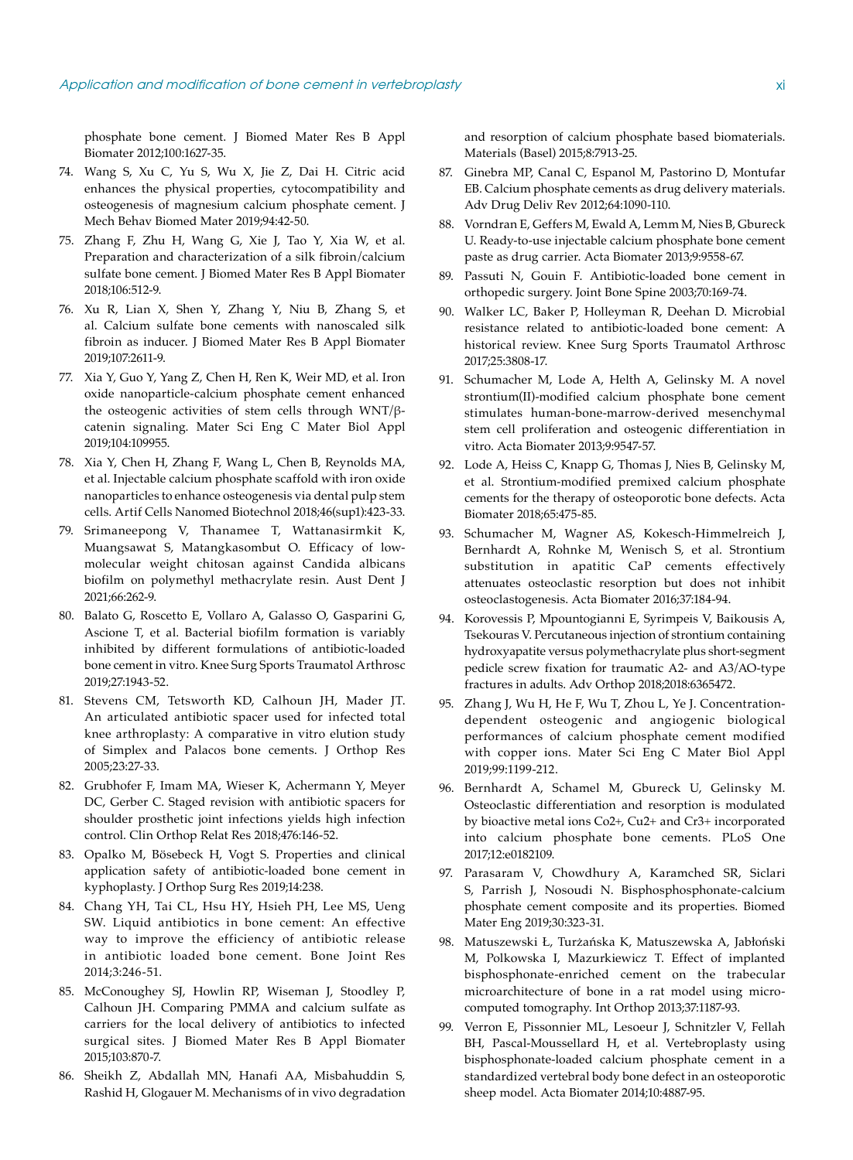phosphate bone cement. J Biomed Mater Res B Appl Biomater 2012;100:1627-35.

- 74. Wang S, Xu C, Yu S, Wu X, Jie Z, Dai H. Citric acid enhances the physical properties, cytocompatibility and osteogenesis of magnesium calcium phosphate cement. J Mech Behav Biomed Mater 2019;94:42-50.
- 75. Zhang F, Zhu H, Wang G, Xie J, Tao Y, Xia W, et al. Preparation and characterization of a silk fibroin/calcium sulfate bone cement. J Biomed Mater Res B Appl Biomater 2018;106:512-9.
- 76. Xu R, Lian X, Shen Y, Zhang Y, Niu B, Zhang S, et al. Calcium sulfate bone cements with nanoscaled silk fibroin as inducer. J Biomed Mater Res B Appl Biomater 2019;107:2611-9.
- 77. Xia Y, Guo Y, Yang Z, Chen H, Ren K, Weir MD, et al. Iron oxide nanoparticle-calcium phosphate cement enhanced the osteogenic activities of stem cells through WNT/βcatenin signaling. Mater Sci Eng C Mater Biol Appl 2019;104:109955.
- 78. Xia Y, Chen H, Zhang F, Wang L, Chen B, Reynolds MA, et al. Injectable calcium phosphate scaffold with iron oxide nanoparticles to enhance osteogenesis via dental pulp stem cells. Artif Cells Nanomed Biotechnol 2018;46(sup1):423-33.
- 79. Srimaneepong V, Thanamee T, Wattanasirmkit K, Muangsawat S, Matangkasombut O. Efficacy of lowmolecular weight chitosan against Candida albicans biofilm on polymethyl methacrylate resin. Aust Dent J 2021;66:262-9.
- 80. Balato G, Roscetto E, Vollaro A, Galasso O, Gasparini G, Ascione T, et al. Bacterial biofilm formation is variably inhibited by different formulations of antibiotic-loaded bone cement in vitro. Knee Surg Sports Traumatol Arthrosc 2019;27:1943-52.
- 81. Stevens CM, Tetsworth KD, Calhoun JH, Mader JT. An articulated antibiotic spacer used for infected total knee arthroplasty: A comparative in vitro elution study of Simplex and Palacos bone cements. J Orthop Res 2005;23:27-33.
- 82. Grubhofer F, Imam MA, Wieser K, Achermann Y, Meyer DC, Gerber C. Staged revision with antibiotic spacers for shoulder prosthetic joint infections yields high infection control. Clin Orthop Relat Res 2018;476:146-52.
- 83. Opalko M, Bösebeck H, Vogt S. Properties and clinical application safety of antibiotic-loaded bone cement in kyphoplasty. J Orthop Surg Res 2019;14:238.
- 84. Chang YH, Tai CL, Hsu HY, Hsieh PH, Lee MS, Ueng SW. Liquid antibiotics in bone cement: An effective way to improve the efficiency of antibiotic release in antibiotic loaded bone cement. Bone Joint Res 2014;3:246-51.
- 85. McConoughey SJ, Howlin RP, Wiseman J, Stoodley P, Calhoun JH. Comparing PMMA and calcium sulfate as carriers for the local delivery of antibiotics to infected surgical sites. J Biomed Mater Res B Appl Biomater 2015;103:870-7.
- 86. Sheikh Z, Abdallah MN, Hanafi AA, Misbahuddin S, Rashid H, Glogauer M. Mechanisms of in vivo degradation

and resorption of calcium phosphate based biomaterials. Materials (Basel) 2015;8:7913-25.

- 87. Ginebra MP, Canal C, Espanol M, Pastorino D, Montufar EB. Calcium phosphate cements as drug delivery materials. Adv Drug Deliv Rev 2012;64:1090-110.
- 88. Vorndran E, Geffers M, Ewald A, Lemm M, Nies B, Gbureck U. Ready-to-use injectable calcium phosphate bone cement paste as drug carrier. Acta Biomater 2013;9:9558-67.
- 89. Passuti N, Gouin F. Antibiotic-loaded bone cement in orthopedic surgery. Joint Bone Spine 2003;70:169-74.
- 90. Walker LC, Baker P, Holleyman R, Deehan D. Microbial resistance related to antibiotic-loaded bone cement: A historical review. Knee Surg Sports Traumatol Arthrosc 2017;25:3808-17.
- 91. Schumacher M, Lode A, Helth A, Gelinsky M. A novel strontium(II)-modified calcium phosphate bone cement stimulates human-bone-marrow-derived mesenchymal stem cell proliferation and osteogenic differentiation in vitro. Acta Biomater 2013;9:9547-57.
- 92. Lode A, Heiss C, Knapp G, Thomas J, Nies B, Gelinsky M, et al. Strontium-modified premixed calcium phosphate cements for the therapy of osteoporotic bone defects. Acta Biomater 2018;65:475-85.
- 93. Schumacher M, Wagner AS, Kokesch-Himmelreich J, Bernhardt A, Rohnke M, Wenisch S, et al. Strontium substitution in apatitic CaP cements effectively attenuates osteoclastic resorption but does not inhibit osteoclastogenesis. Acta Biomater 2016;37:184-94.
- 94. Korovessis P, Mpountogianni E, Syrimpeis V, Baikousis A, Tsekouras V. Percutaneous injection of strontium containing hydroxyapatite versus polymethacrylate plus short-segment pedicle screw fixation for traumatic A2- and A3/AO-type fractures in adults. Adv Orthop 2018;2018:6365472.
- 95. Zhang J, Wu H, He F, Wu T, Zhou L, Ye J. Concentrationdependent osteogenic and angiogenic biological performances of calcium phosphate cement modified with copper ions. Mater Sci Eng C Mater Biol Appl 2019;99:1199-212.
- 96. Bernhardt A, Schamel M, Gbureck U, Gelinsky M. Osteoclastic differentiation and resorption is modulated by bioactive metal ions Co2+, Cu2+ and Cr3+ incorporated into calcium phosphate bone cements. PLoS One 2017;12:e0182109.
- 97. Parasaram V, Chowdhury A, Karamched SR, Siclari S, Parrish J, Nosoudi N. Bisphosphosphonate-calcium phosphate cement composite and its properties. Biomed Mater Eng 2019;30:323-31.
- 98. Matuszewski Ł, Turżańska K, Matuszewska A, Jabłoński M, Polkowska I, Mazurkiewicz T. Effect of implanted bisphosphonate-enriched cement on the trabecular microarchitecture of bone in a rat model using microcomputed tomography. Int Orthop 2013;37:1187-93.
- 99. Verron E, Pissonnier ML, Lesoeur J, Schnitzler V, Fellah BH, Pascal-Moussellard H, et al. Vertebroplasty using bisphosphonate-loaded calcium phosphate cement in a standardized vertebral body bone defect in an osteoporotic sheep model. Acta Biomater 2014;10:4887-95.